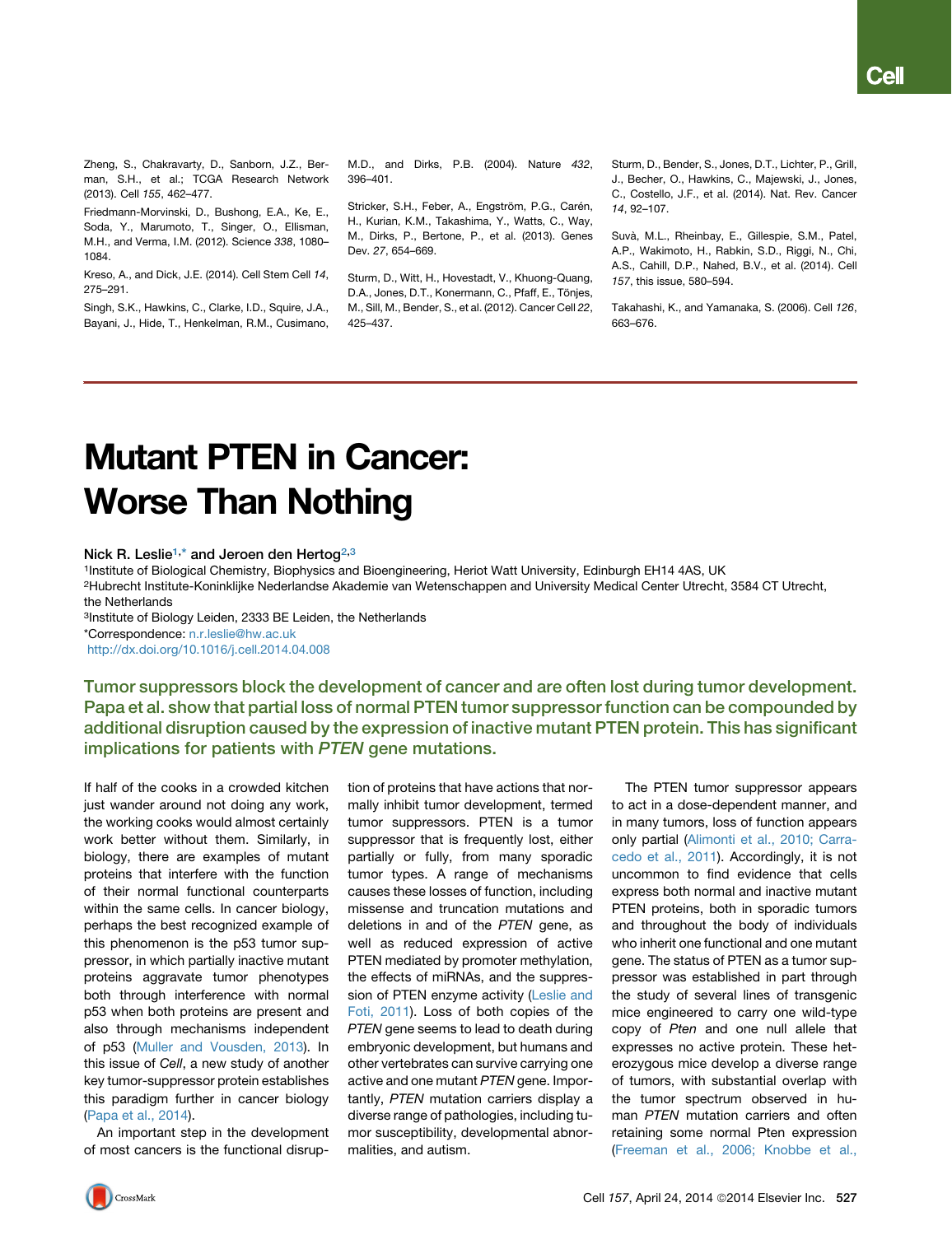Zheng, S., Chakravarty, D., Sanborn, J.Z., Berman, S.H., et al.; TCGA Research Network (2013). Cell *155*, 462–477.

Friedmann-Morvinski, D., Bushong, E.A., Ke, E., Soda, Y., Marumoto, T., Singer, O., Ellisman, M.H., and Verma, I.M. (2012). Science *338*, 1080– 1084.

Kreso, A., and Dick, J.E. (2014). Cell Stem Cell *14*, 275–291.

Singh, S.K., Hawkins, C., Clarke, I.D., Squire, J.A., Bayani, J., Hide, T., Henkelman, R.M., Cusimano,

M.D., and Dirks, P.B. (2004). Nature *432*, 396–401.

Stricker, S.H., Feber, A., Engström, P.G., Carén, H., Kurian, K.M., Takashima, Y., Watts, C., Way, M., Dirks, P., Bertone, P., et al. (2013). Genes Dev. *27*, 654–669.

Sturm, D., Witt, H., Hovestadt, V., Khuong-Quang, D.A., Jones, D.T., Konermann, C., Pfaff, E., Tönjes, M., Sill, M., Bender, S., et al. (2012). Cancer Cell *22*, 425–437.

Sturm, D., Bender, S., Jones, D.T., Lichter, P., Grill, J., Becher, O., Hawkins, C., Majewski, J., Jones, C., Costello, J.F., et al. (2014). Nat. Rev. Cancer *14*, 92–107.

Suvà, M.L., Rheinbay, E., Gillespie, S.M., Patel, A.P., Wakimoto, H., Rabkin, S.D., Riggi, N., Chi, A.S., Cahill, D.P., Nahed, B.V., et al. (2014). Cell *157*, this issue, 580–594.

Takahashi, K., and Yamanaka, S. (2006). Cell *126*, 663–676.

## **Mutant PTEN in Cancer: Worse Than Nothing** World Than Nothing

Nick R. Leslie<sup>1,\*</sup> and Jeroen den Hertog<sup>2,3</sup>

1Institute of Biological Chemistry, Biophysics and Bioengineering, Heriot Watt University, Edinburgh EH14 4AS, UK

2Hubrecht Institute-Koninklijke Nederlandse Akademie van Wetenschappen and University Medical Center Utrecht, 3584 CT Utrecht, the Netherlands

3Institute of Biology Leiden, 2333 BE Leiden, the Netherlands

\*Correspondence: [n.r.leslie@hw.ac.uk](mailto:n.r.leslie@hw.ac.uk)

<http://dx.doi.org/10.1016/j.cell.2014.04.008>

Tumor suppressors block the development of cancer and are often lost during tumor development. Papa et al. show that partial loss of normal PTEN tumor suppressor function can be compounded by additional disruption caused by the expression of inactive mutant PTEN protein. This has significant implications for patients with PTEN gene mutations.

If half of the cooks in a crowded kitchen just wander around not doing any work, the working cooks would almost certainly work better without them. Similarly, in biology, there are examples of mutant proteins that interfere with the function of their normal functional counterparts within the same cells. In cancer biology, perhaps the best recognized example of this phenomenon is the p53 tumor suppressor, in which partially inactive mutant proteins aggravate tumor phenotypes both through interference with normal p53 when both proteins are present and also through mechanisms independent of p53 [\(Muller and Vousden, 2013](#page-2-0)). In this issue of *Cell*, a new study of another key tumor-suppressor protein establishes this paradigm further in cancer biology [\(Papa et al., 2014](#page-2-0)).

An important step in the development of most cancers is the functional disruption of proteins that have actions that normally inhibit tumor development, termed tumor suppressors. PTEN is a tumor suppressor that is frequently lost, either partially or fully, from many sporadic tumor types. A range of mechanisms causes these losses of function, including missense and truncation mutations and deletions in and of the *PTEN* gene, as well as reduced expression of active PTEN mediated by promoter methylation, the effects of miRNAs, and the suppression of PTEN enzyme activity [\(Leslie and](#page-2-0) [Foti, 2011\)](#page-2-0). Loss of both copies of the *PTEN* gene seems to lead to death during embryonic development, but humans and other vertebrates can survive carrying one active and one mutant *PTEN* gene. Importantly, *PTEN* mutation carriers display a diverse range of pathologies, including tumor susceptibility, developmental abnormalities, and autism.

The PTEN tumor suppressor appears to act in a dose-dependent manner, and in many tumors, loss of function appears only partial ([Alimonti et al., 2010; Carra](#page-2-0)[cedo et al., 2011\)](#page-2-0). Accordingly, it is not uncommon to find evidence that cells express both normal and inactive mutant PTEN proteins, both in sporadic tumors and throughout the body of individuals who inherit one functional and one mutant gene. The status of PTEN as a tumor suppressor was established in part through the study of several lines of transgenic mice engineered to carry one wild-type copy of *Pten* and one null allele that expresses no active protein. These heterozygous mice develop a diverse range of tumors, with substantial overlap with the tumor spectrum observed in human *PTEN* mutation carriers and often retaining some normal Pten expression [\(Freeman et al., 2006; Knobbe et al.,](#page-2-0)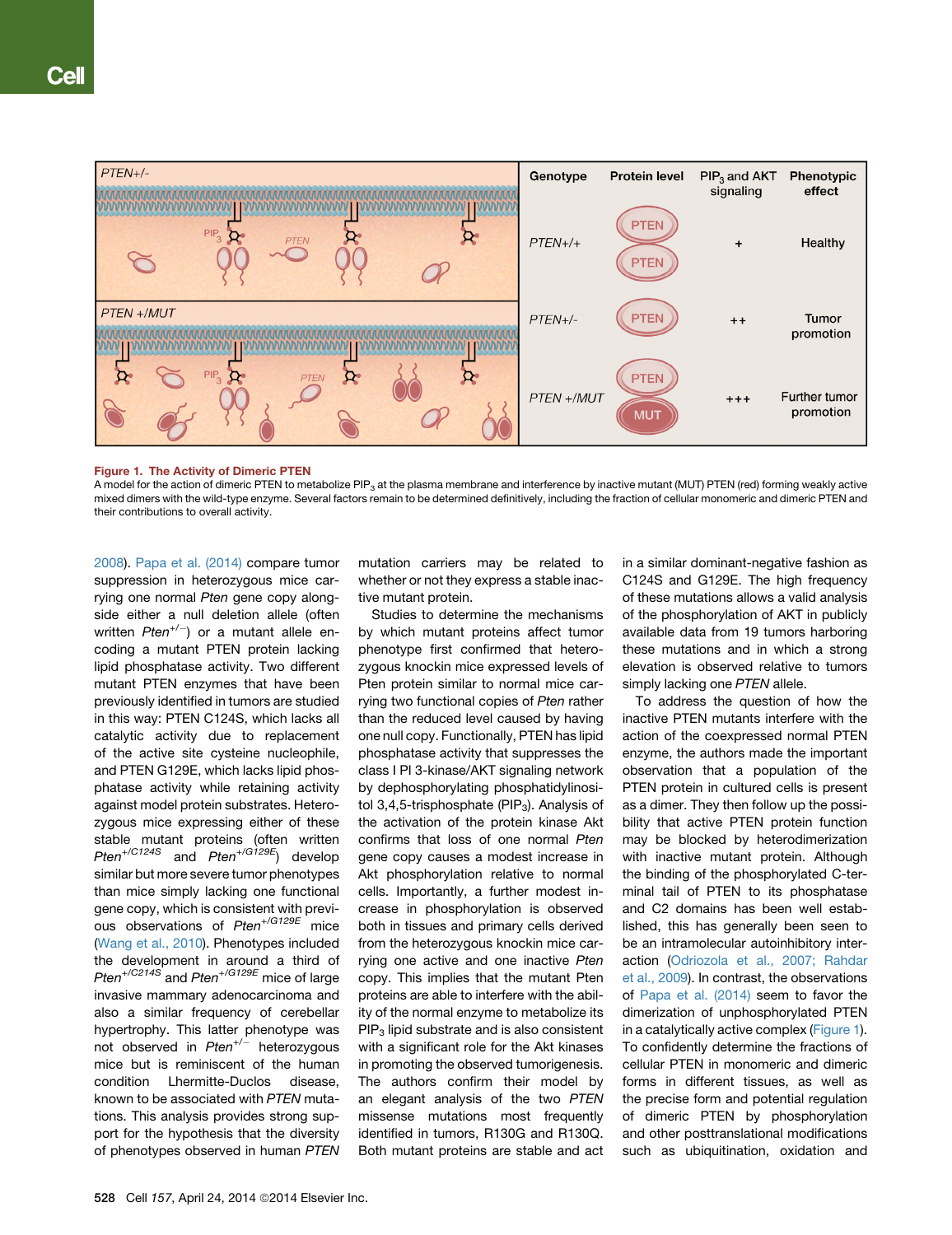

A model for the action of dimeric PTEN to metabolize PIP<sub>3</sub> at the plasma membrane and interference by inactive mutant (MUT) PTEN (red) forming weakly active mixed dimers with the wild-type enzyme. Several factors remain to be determined definitively, including the fraction of cellular monomeric and dimeric PTEN and their contributions to overall activity.

[2008](#page-2-0)). [Papa et al. \(2014\)](#page-2-0) compare tumor suppression in heterozygous mice carrying one normal *Pten* gene copy alongside either a null deletion allele (often written *Pten+/*) or a mutant allele encoding a mutant PTEN protein lacking lipid phosphatase activity. Two different mutant PTEN enzymes that have been previously identified in tumors are studied in this way: PTEN C124S, which lacks all catalytic activity due to replacement of the active site cysteine nucleophile, and PTEN G129E, which lacks lipid phosphatase activity while retaining activity against model protein substrates. Heterozygous mice expressing either of these stable mutant proteins (often written *Pten+/C124S* and *Pten+/G129E*) develop similar but more severe tumor phenotypes than mice simply lacking one functional gene copy, which is consistent with previous observations of *Pten+/G129E* mice ([Wang et al., 2010](#page-2-0)). Phenotypes included the development in around a third of *Pten+/C214S* and *Pten+/G129E* mice of large invasive mammary adenocarcinoma and also a similar frequency of cerebellar hypertrophy. This latter phenotype was not observed in *Pten<sup>+/-</sup>* heterozygous mice but is reminiscent of the human condition Lhermitte-Duclos disease, known to be associated with *PTEN* mutations. This analysis provides strong support for the hypothesis that the diversity of phenotypes observed in human *PTEN*

mutation carriers may be related to whether or not they express a stable inactive mutant protein.

Studies to determine the mechanisms by which mutant proteins affect tumor phenotype first confirmed that heterozygous knockin mice expressed levels of Pten protein similar to normal mice carrying two functional copies of *Pten* rather than the reduced level caused by having one null copy. Functionally, PTEN has lipid phosphatase activity that suppresses the class I PI 3-kinase/AKT signaling network by dephosphorylating phosphatidylinositol  $3,4,5$ -trisphosphate (PIP<sub>3</sub>). Analysis of the activation of the protein kinase Akt confirms that loss of one normal *Pten* gene copy causes a modest increase in Akt phosphorylation relative to normal cells. Importantly, a further modest increase in phosphorylation is observed both in tissues and primary cells derived from the heterozygous knockin mice carrying one active and one inactive *Pten* copy. This implies that the mutant Pten proteins are able to interfere with the ability of the normal enzyme to metabolize its  $PIP<sub>3</sub>$  lipid substrate and is also consistent with a significant role for the Akt kinases in promoting the observed tumorigenesis. The authors confirm their model by an elegant analysis of the two *PTEN* missense mutations most frequently identified in tumors, R130G and R130Q. Both mutant proteins are stable and act in a similar dominant-negative fashion as C124S and G129E. The high frequency of these mutations allows a valid analysis of the phosphorylation of AKT in publicly available data from 19 tumors harboring these mutations and in which a strong elevation is observed relative to tumors simply lacking one *PTEN* allele.

To address the question of how the inactive PTEN mutants interfere with the action of the coexpressed normal PTEN enzyme, the authors made the important observation that a population of the PTEN protein in cultured cells is present as a dimer. They then follow up the possibility that active PTEN protein function may be blocked by heterodimerization with inactive mutant protein. Although the binding of the phosphorylated C-terminal tail of PTEN to its phosphatase and C2 domains has been well established, this has generally been seen to be an intramolecular autoinhibitory interaction [\(Odriozola et al., 2007; Rahdar](#page-2-0) [et al., 2009\)](#page-2-0). In contrast, the observations of [Papa et al. \(2014\)](#page-2-0) seem to favor the dimerization of unphosphorylated PTEN in a catalytically active complex (Figure 1). To confidently determine the fractions of cellular PTEN in monomeric and dimeric forms in different tissues, as well as the precise form and potential regulation of dimeric PTEN by phosphorylation and other posttranslational modifications such as ubiquitination, oxidation and